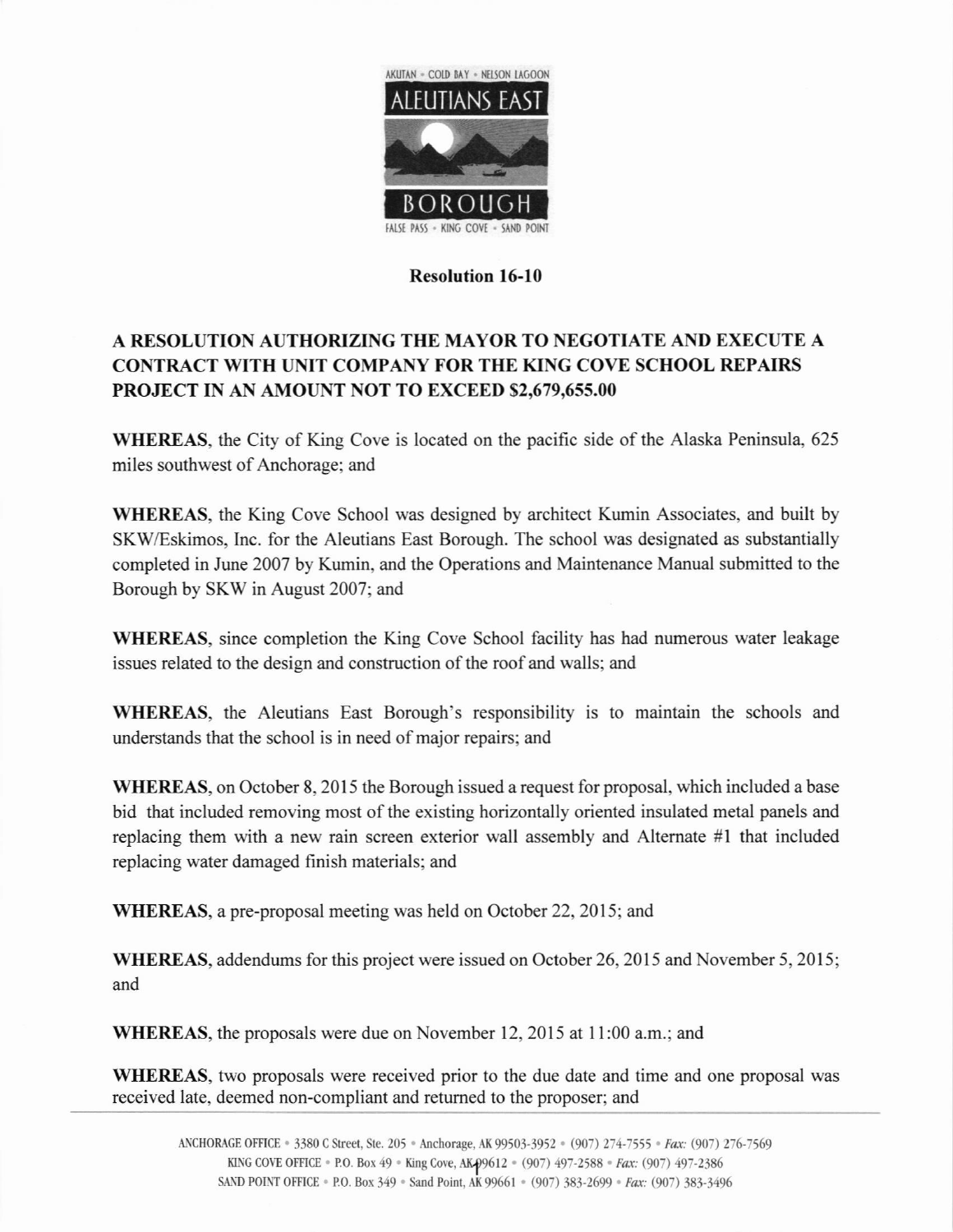

## Resolution l6-10

## A RESOLUTION AUTHORIZING THE MAYOR TO NEGOTIATE AND EXECUTE A CONTRACT WITH UNIT COMPANY FOR THE KING COVE SCHOOL REPAIRS PRoJECT IN AN AMOUNT NOT TO EXCEED 52,679,655.00

WHEREAS, the City of King Cove is located on the pacific side of the Alaska Peninsula, 625 miles southwest of Anchorage; and

WHEREAS, the King Cove School was designed by architect Kumin Associates, and built by SKWEskimos, lnc. for the Aleutians East Borough. The school was designated as substantially compfeted in June 2007 by Kumin, and the Operations and Maintenance Manual submitted to the Borough by SKW in August 2007; and

WHEREAS, since completion the King Cove School facility has had numerous water leakage issues related to the design and construction of the roof and walls; and

WHEREAS, the Aleutians East Borough's responsibility is to maintain the schools and understands that the school is in need of major repairs; and

WHEREAS, on October 8, 2015 the Borough issued a request for proposal, which included a base bid that included removing most of the existing horizontally oriented insulated metal panels and replacing them with a new rain screen exterior wall assembly and Alternate #1 that included replacing water damaged finish materials: and

WHEREAS, a pre-proposal meeting was held on October 22, 2015; and

WHEREAS, addendums for this project were issued on October 26, 2015 and November 5, 2015; and

WHEREAS, the proposals were due on November 12,2015 at 1l:00 a.m.; and

WHEREAS, two proposals were received prior to the due date and time and one proposal was received late, deemed non-compliant and retumed to the proposer; and